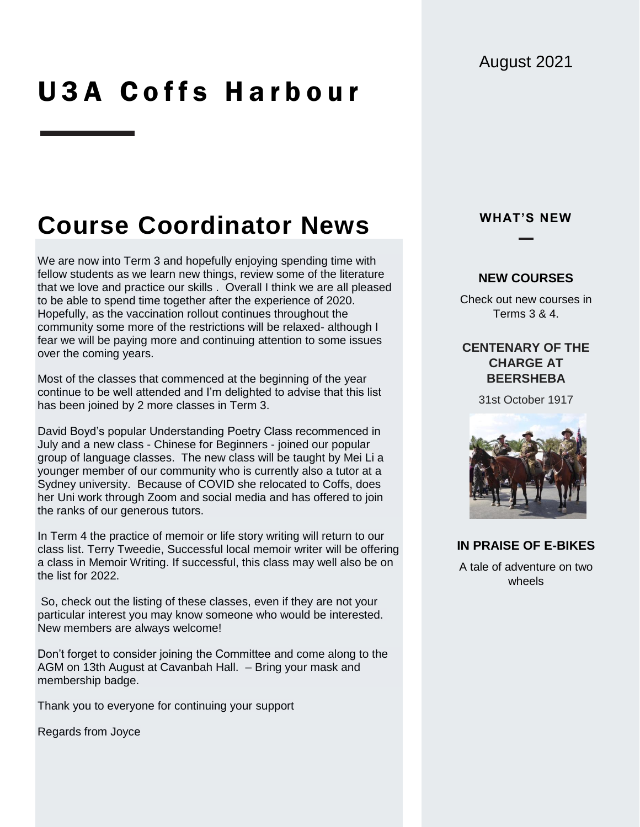# U3A Coffs Harbour

## **Course Coordinator News**

We are now into Term 3 and hopefully enjoying spending time with fellow students as we learn new things, review some of the literature that we love and practice our skills . Overall I think we are all pleased to be able to spend time together after the experience of 2020. Hopefully, as the vaccination rollout continues throughout the community some more of the restrictions will be relaxed- although I fear we will be paying more and continuing attention to some issues over the coming years.

Most of the classes that commenced at the beginning of the year continue to be well attended and I'm delighted to advise that this list has been joined by 2 more classes in Term 3.

David Boyd's popular Understanding Poetry Class recommenced in July and a new class - Chinese for Beginners - joined our popular group of language classes. The new class will be taught by Mei Li a younger member of our community who is currently also a tutor at a Sydney university. Because of COVID she relocated to Coffs, does her Uni work through Zoom and social media and has offered to join the ranks of our generous tutors.

In Term 4 the practice of memoir or life story writing will return to our class list. Terry Tweedie, Successful local memoir writer will be offering a class in Memoir Writing. If successful, this class may well also be on the list for 2022.

So, check out the listing of these classes, even if they are not your particular interest you may know someone who would be interested. New members are always welcome!

Don't forget to consider joining the Committee and come along to the AGM on 13th August at Cavanbah Hall. – Bring your mask and membership badge.

Thank you to everyone for continuing your support

Regards from Joyce

### **WHAT'S NEW**

#### **NEW COURSES**

Check out new courses in Terms 3 & 4.

### **CENTENARY OF THE CHARGE AT BEERSHEBA**

31st October 1917



### **IN PRAISE OF E-BIKES**

A tale of adventure on two wheels

### August 2021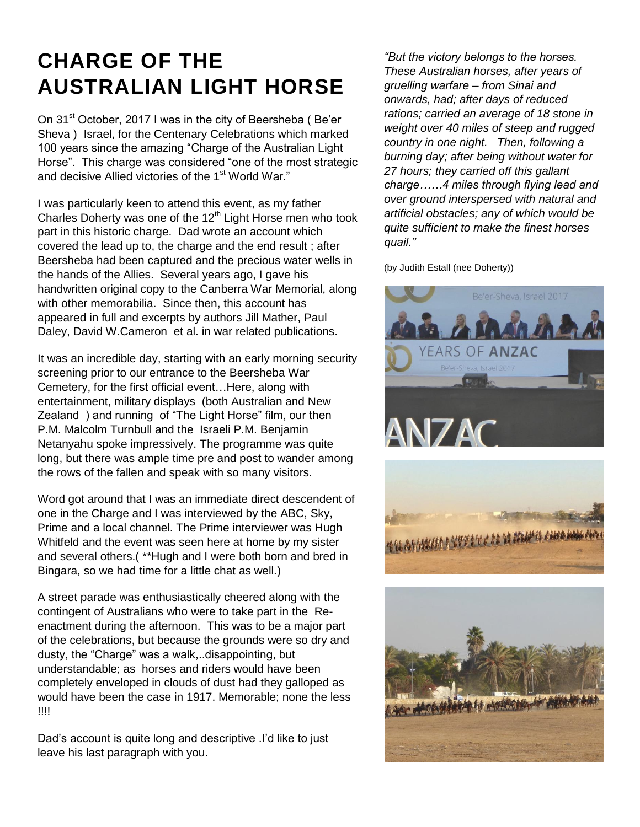### **CHARGE OF THE AUSTRALIAN LIGHT HORSE**

On 31<sup>st</sup> October, 2017 I was in the city of Beersheba (Be'er Sheva ) Israel, for the Centenary Celebrations which marked 100 years since the amazing "Charge of the Australian Light Horse". This charge was considered "one of the most strategic and decisive Allied victories of the 1<sup>st</sup> World War."

I was particularly keen to attend this event, as my father Charles Doherty was one of the  $12<sup>th</sup>$  Light Horse men who took part in this historic charge. Dad wrote an account which covered the lead up to, the charge and the end result ; after Beersheba had been captured and the precious water wells in the hands of the Allies. Several years ago, I gave his handwritten original copy to the Canberra War Memorial, along with other memorabilia. Since then, this account has appeared in full and excerpts by authors Jill Mather, Paul Daley, David W.Cameron et al. in war related publications.

It was an incredible day, starting with an early morning security screening prior to our entrance to the Beersheba War Cemetery, for the first official event…Here, along with entertainment, military displays (both Australian and New Zealand ) and running of "The Light Horse" film, our then P.M. Malcolm Turnbull and the Israeli P.M. Benjamin Netanyahu spoke impressively. The programme was quite long, but there was ample time pre and post to wander among the rows of the fallen and speak with so many visitors.

Word got around that I was an immediate direct descendent of one in the Charge and I was interviewed by the ABC, Sky, Prime and a local channel. The Prime interviewer was Hugh Whitfeld and the event was seen here at home by my sister and several others.( \*\*Hugh and I were both born and bred in Bingara, so we had time for a little chat as well.)

A street parade was enthusiastically cheered along with the contingent of Australians who were to take part in the Reenactment during the afternoon. This was to be a major part of the celebrations, but because the grounds were so dry and dusty, the "Charge" was a walk,..disappointing, but understandable; as horses and riders would have been completely enveloped in clouds of dust had they galloped as would have been the case in 1917. Memorable; none the less !!!!

Dad's account is quite long and descriptive .I'd like to just leave his last paragraph with you.

*"But the victory belongs to the horses. These Australian horses, after years of gruelling warfare – from Sinai and onwards, had; after days of reduced rations; carried an average of 18 stone in weight over 40 miles of steep and rugged country in one night. Then, following a burning day; after being without water for 27 hours; they carried off this gallant charge……4 miles through flying lead and over ground interspersed with natural and artificial obstacles; any of which would be quite sufficient to make the finest horses quail."*

(by Judith Estall (nee Doherty))





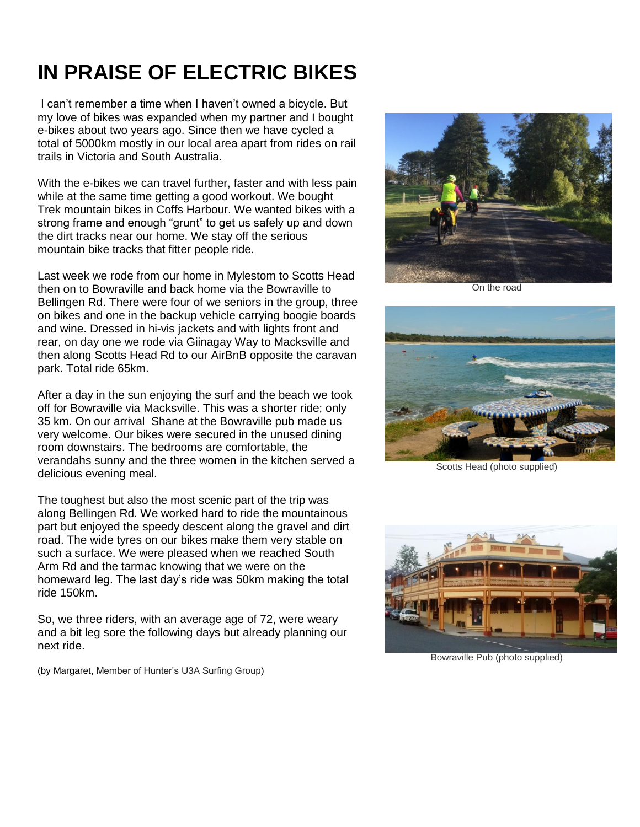## **IN PRAISE OF ELECTRIC BIKES**

I can't remember a time when I haven't owned a bicycle. But my love of bikes was expanded when my partner and I bought e-bikes about two years ago. Since then we have cycled a total of 5000km mostly in our local area apart from rides on rail trails in Victoria and South Australia.

With the e-bikes we can travel further, faster and with less pain while at the same time getting a good workout. We bought Trek mountain bikes in Coffs Harbour. We wanted bikes with a strong frame and enough "grunt" to get us safely up and down the dirt tracks near our home. We stay off the serious mountain bike tracks that fitter people ride.

Last week we rode from our home in Mylestom to Scotts Head then on to Bowraville and back home via the Bowraville to Bellingen Rd. There were four of we seniors in the group, three on bikes and one in the backup vehicle carrying boogie boards and wine. Dressed in hi-vis jackets and with lights front and rear, on day one we rode via Giinagay Way to Macksville and then along Scotts Head Rd to our AirBnB opposite the caravan park. Total ride 65km.

After a day in the sun enjoying the surf and the beach we took off for Bowraville via Macksville. This was a shorter ride; only 35 km. On our arrival Shane at the Bowraville pub made us very welcome. Our bikes were secured in the unused dining room downstairs. The bedrooms are comfortable, the verandahs sunny and the three women in the kitchen served a delicious evening meal.

The toughest but also the most scenic part of the trip was along Bellingen Rd. We worked hard to ride the mountainous part but enjoyed the speedy descent along the gravel and dirt road. The wide tyres on our bikes make them very stable on such a surface. We were pleased when we reached South Arm Rd and the tarmac knowing that we were on the homeward leg. The last day's ride was 50km making the total ride 150km.

So, we three riders, with an average age of 72, were weary and a bit leg sore the following days but already planning our next ride.

(by Margaret, Member of Hunter's U3A Surfing Group)



On the road



Scotts Head (photo supplied)



Bowraville Pub (photo supplied)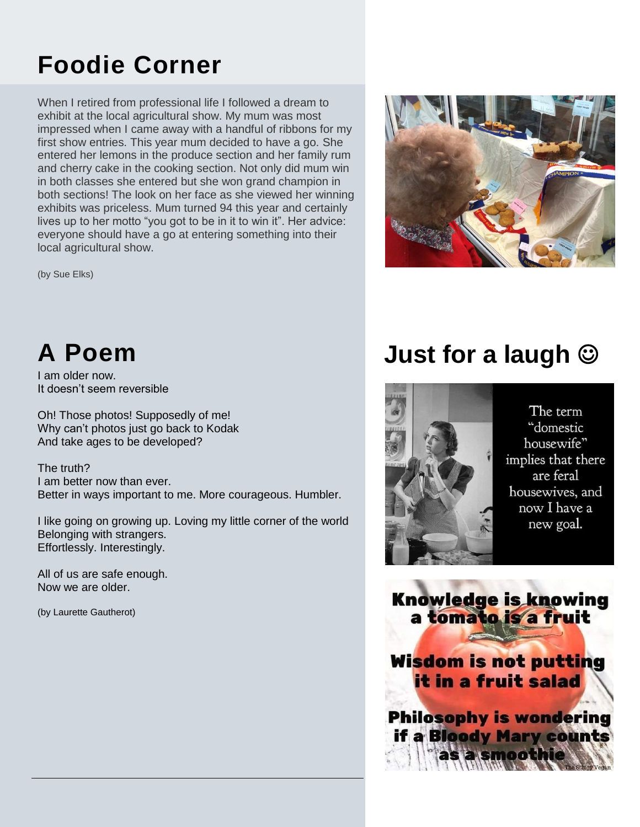## **Foodie Corner**

When I retired from professional life I followed a dream to exhibit at the local agricultural show. My mum was most impressed when I came away with a handful of ribbons for my first show entries. This year mum decided to have a go. She entered her lemons in the produce section and her family rum and cherry cake in the cooking section. Not only did mum win in both classes she entered but she won grand champion in both sections! The look on her face as she viewed her winning exhibits was priceless. Mum turned 94 this year and certainly lives up to her motto "you got to be in it to win it". Her advice: everyone should have a go at entering something into their local agricultural show.

(by Sue Elks)



## **A Poem**

I am older now. It doesn't seem reversible

Oh! Those photos! Supposedly of me! Why can't photos just go back to Kodak And take ages to be developed?

The truth? I am better now than ever. Better in ways important to me. More courageous. Humbler.

I like going on growing up. Loving my little corner of the world Belonging with strangers. Effortlessly. Interestingly.

All of us are safe enough. Now we are older.

(by Laurette Gautherot)

## **Just for a laugh**



The term "domestic housewife" implies that there are feral housewives, and now I have a new goal.

**Knowledge is knowing** a tomato is a fruit **Wisdom is not putting** it in a fruit salad **Philosophy is wondering** if a Bloody Mary counts

a smoothie